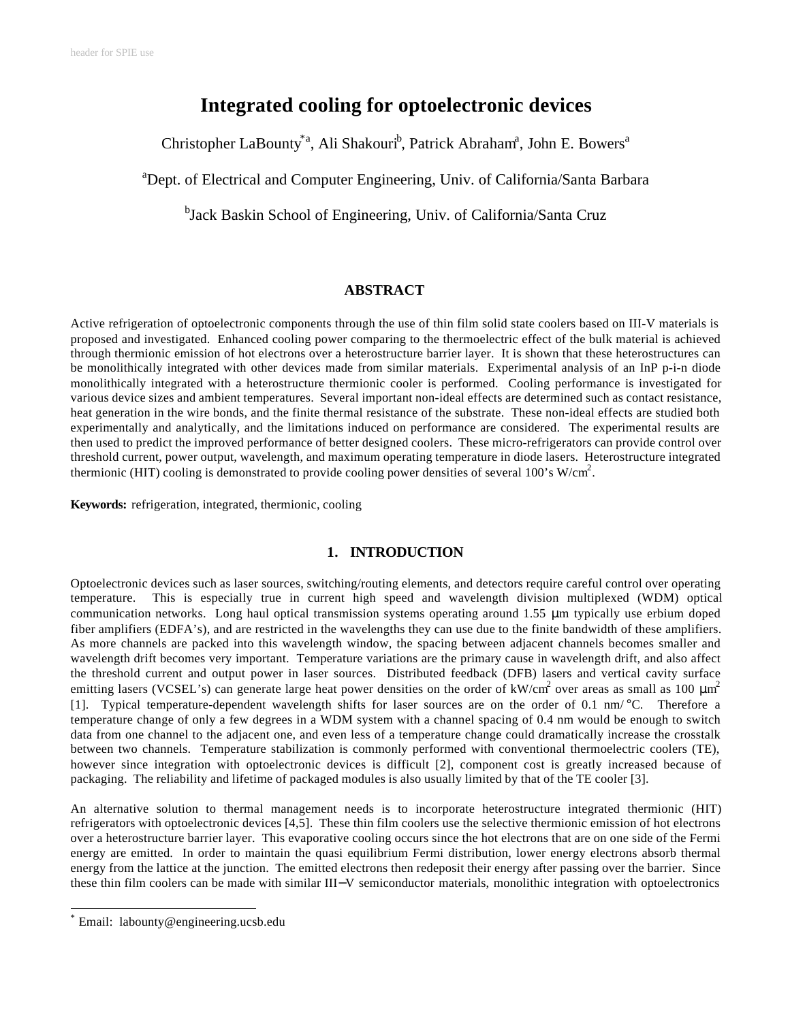# **Integrated cooling for optoelectronic devices**

Christopher LaBounty<sup>\*a</sup>, Ali Shakouri<sup>b</sup>, Patrick Abraham<sup>a</sup>, John E. Bowers<sup>a</sup>

<sup>a</sup>Dept. of Electrical and Computer Engineering, Univ. of California/Santa Barbara

<sup>b</sup>Jack Baskin School of Engineering, Univ. of California/Santa Cruz

# **ABSTRACT**

Active refrigeration of optoelectronic components through the use of thin film solid state coolers based on III-V materials is proposed and investigated. Enhanced cooling power comparing to the thermoelectric effect of the bulk material is achieved through thermionic emission of hot electrons over a heterostructure barrier layer. It is shown that these heterostructures can be monolithically integrated with other devices made from similar materials. Experimental analysis of an InP p-i-n diode monolithically integrated with a heterostructure thermionic cooler is performed. Cooling performance is investigated for various device sizes and ambient temperatures. Several important non-ideal effects are determined such as contact resistance, heat generation in the wire bonds, and the finite thermal resistance of the substrate. These non-ideal effects are studied both experimentally and analytically, and the limitations induced on performance are considered. The experimental results are then used to predict the improved performance of better designed coolers. These micro-refrigerators can provide control over threshold current, power output, wavelength, and maximum operating temperature in diode lasers. Heterostructure integrated thermionic (HIT) cooling is demonstrated to provide cooling power densities of several 100's W/cm<sup>2</sup>.

**Keywords:** refrigeration, integrated, thermionic, cooling

## **1. INTRODUCTION**

Optoelectronic devices such as laser sources, switching/routing elements, and detectors require careful control over operating temperature. This is especially true in current high speed and wavelength division multiplexed (WDM) optical communication networks. Long haul optical transmission systems operating around 1.55 μm typically use erbium doped fiber amplifiers (EDFA's), and are restricted in the wavelengths they can use due to the finite bandwidth of these amplifiers. As more channels are packed into this wavelength window, the spacing between adjacent channels becomes smaller and wavelength drift becomes very important. Temperature variations are the primary cause in wavelength drift, and also affect the threshold current and output power in laser sources. Distributed feedback (DFB) lasers and vertical cavity surface emitting lasers (VCSEL's) can generate large heat power densities on the order of kW/cm<sup>2</sup> over areas as small as 100  $\mu$ m<sup>2</sup> [1]. Typical temperature-dependent wavelength shifts for laser sources are on the order of 0.1 nm/ °C. Therefore a temperature change of only a few degrees in a WDM system with a channel spacing of 0.4 nm would be enough to switch data from one channel to the adjacent one, and even less of a temperature change could dramatically increase the crosstalk between two channels. Temperature stabilization is commonly performed with conventional thermoelectric coolers (TE), however since integration with optoelectronic devices is difficult [2], component cost is greatly increased because of packaging. The reliability and lifetime of packaged modules is also usually limited by that of the TE cooler [3].

An alternative solution to thermal management needs is to incorporate heterostructure integrated thermionic (HIT) refrigerators with optoelectronic devices [4,5]. These thin film coolers use the selective thermionic emission of hot electrons over a heterostructure barrier layer. This evaporative cooling occurs since the hot electrons that are on one side of the Fermi energy are emitted. In order to maintain the quasi equilibrium Fermi distribution, lower energy electrons absorb thermal energy from the lattice at the junction. The emitted electrons then redeposit their energy after passing over the barrier. Since these thin film coolers can be made with similar III−V semiconductor materials, monolithic integration with optoelectronics

l

<sup>\*</sup> Email: labounty@engineering.ucsb.edu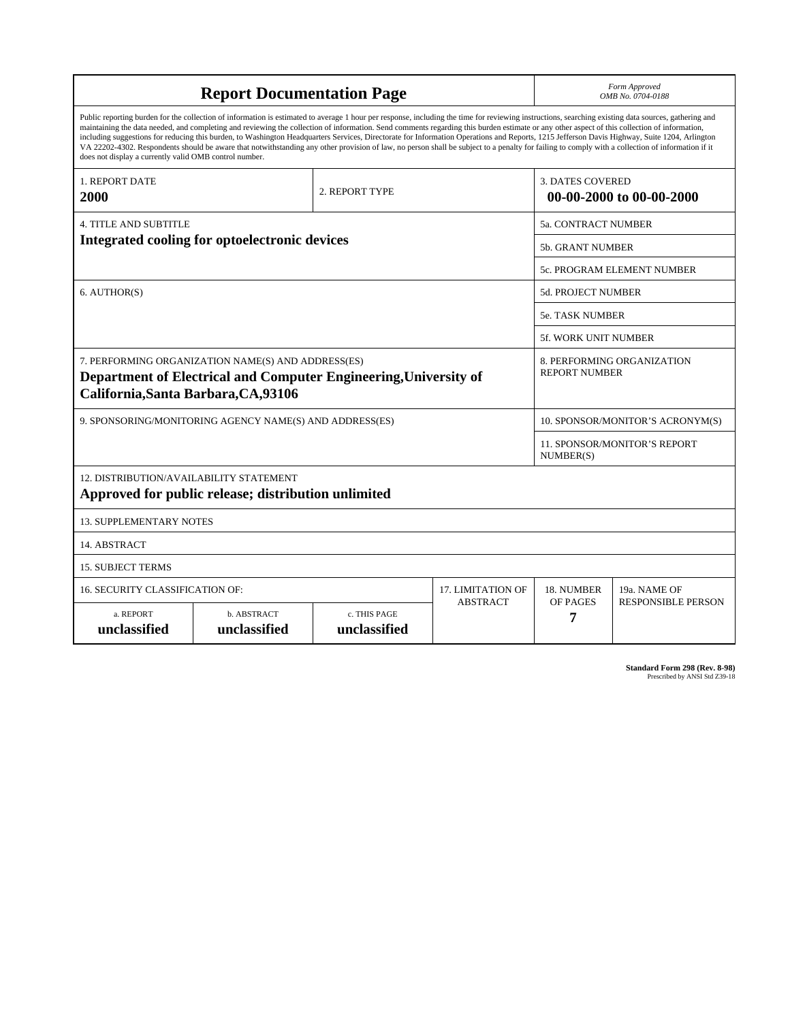| <b>Report Documentation Page</b>                                                                                                                                                                                                                                                                                                                                                                                                                                                                                                                                                                                                                                                                                                                                                                                                                                   |                             |                              |                 | Form Approved<br>OMB No. 0704-0188                  |                           |  |
|--------------------------------------------------------------------------------------------------------------------------------------------------------------------------------------------------------------------------------------------------------------------------------------------------------------------------------------------------------------------------------------------------------------------------------------------------------------------------------------------------------------------------------------------------------------------------------------------------------------------------------------------------------------------------------------------------------------------------------------------------------------------------------------------------------------------------------------------------------------------|-----------------------------|------------------------------|-----------------|-----------------------------------------------------|---------------------------|--|
| Public reporting burden for the collection of information is estimated to average 1 hour per response, including the time for reviewing instructions, searching existing data sources, gathering and<br>maintaining the data needed, and completing and reviewing the collection of information. Send comments regarding this burden estimate or any other aspect of this collection of information,<br>including suggestions for reducing this burden, to Washington Headquarters Services, Directorate for Information Operations and Reports, 1215 Jefferson Davis Highway, Suite 1204, Arlington<br>VA 22202-4302. Respondents should be aware that notwithstanding any other provision of law, no person shall be subject to a penalty for failing to comply with a collection of information if it<br>does not display a currently valid OMB control number. |                             |                              |                 |                                                     |                           |  |
| 1. REPORT DATE<br>2. REPORT TYPE<br>2000                                                                                                                                                                                                                                                                                                                                                                                                                                                                                                                                                                                                                                                                                                                                                                                                                           |                             |                              |                 | <b>3. DATES COVERED</b><br>00-00-2000 to 00-00-2000 |                           |  |
| <b>4. TITLE AND SUBTITLE</b>                                                                                                                                                                                                                                                                                                                                                                                                                                                                                                                                                                                                                                                                                                                                                                                                                                       |                             |                              |                 | 5a. CONTRACT NUMBER                                 |                           |  |
| Integrated cooling for optoelectronic devices                                                                                                                                                                                                                                                                                                                                                                                                                                                                                                                                                                                                                                                                                                                                                                                                                      |                             |                              |                 | <b>5b. GRANT NUMBER</b>                             |                           |  |
|                                                                                                                                                                                                                                                                                                                                                                                                                                                                                                                                                                                                                                                                                                                                                                                                                                                                    |                             |                              |                 | 5c. PROGRAM ELEMENT NUMBER                          |                           |  |
| 6. AUTHOR(S)                                                                                                                                                                                                                                                                                                                                                                                                                                                                                                                                                                                                                                                                                                                                                                                                                                                       |                             |                              |                 | <b>5d. PROJECT NUMBER</b>                           |                           |  |
|                                                                                                                                                                                                                                                                                                                                                                                                                                                                                                                                                                                                                                                                                                                                                                                                                                                                    |                             |                              |                 | <b>5e. TASK NUMBER</b>                              |                           |  |
|                                                                                                                                                                                                                                                                                                                                                                                                                                                                                                                                                                                                                                                                                                                                                                                                                                                                    |                             |                              |                 | <b>5f. WORK UNIT NUMBER</b>                         |                           |  |
| 7. PERFORMING ORGANIZATION NAME(S) AND ADDRESS(ES)<br>Department of Electrical and Computer Engineering, University of<br>California, Santa Barbara, CA, 93106                                                                                                                                                                                                                                                                                                                                                                                                                                                                                                                                                                                                                                                                                                     |                             |                              |                 | 8. PERFORMING ORGANIZATION<br><b>REPORT NUMBER</b>  |                           |  |
| 9. SPONSORING/MONITORING AGENCY NAME(S) AND ADDRESS(ES)                                                                                                                                                                                                                                                                                                                                                                                                                                                                                                                                                                                                                                                                                                                                                                                                            |                             |                              |                 | 10. SPONSOR/MONITOR'S ACRONYM(S)                    |                           |  |
|                                                                                                                                                                                                                                                                                                                                                                                                                                                                                                                                                                                                                                                                                                                                                                                                                                                                    |                             |                              |                 | <b>11. SPONSOR/MONITOR'S REPORT</b><br>NUMBER(S)    |                           |  |
| 12. DISTRIBUTION/AVAILABILITY STATEMENT<br>Approved for public release; distribution unlimited                                                                                                                                                                                                                                                                                                                                                                                                                                                                                                                                                                                                                                                                                                                                                                     |                             |                              |                 |                                                     |                           |  |
| <b>13. SUPPLEMENTARY NOTES</b>                                                                                                                                                                                                                                                                                                                                                                                                                                                                                                                                                                                                                                                                                                                                                                                                                                     |                             |                              |                 |                                                     |                           |  |
| 14. ABSTRACT                                                                                                                                                                                                                                                                                                                                                                                                                                                                                                                                                                                                                                                                                                                                                                                                                                                       |                             |                              |                 |                                                     |                           |  |
| <b>15. SUBJECT TERMS</b>                                                                                                                                                                                                                                                                                                                                                                                                                                                                                                                                                                                                                                                                                                                                                                                                                                           |                             |                              |                 |                                                     |                           |  |
| 16. SECURITY CLASSIFICATION OF:                                                                                                                                                                                                                                                                                                                                                                                                                                                                                                                                                                                                                                                                                                                                                                                                                                    | 17. LIMITATION OF           | 18. NUMBER                   | 19a. NAME OF    |                                                     |                           |  |
| a. REPORT<br>unclassified                                                                                                                                                                                                                                                                                                                                                                                                                                                                                                                                                                                                                                                                                                                                                                                                                                          | b. ABSTRACT<br>unclassified | c. THIS PAGE<br>unclassified | <b>ABSTRACT</b> | OF PAGES<br>7                                       | <b>RESPONSIBLE PERSON</b> |  |

**Standard Form 298 (Rev. 8-98)**<br>Prescribed by ANSI Std Z39-18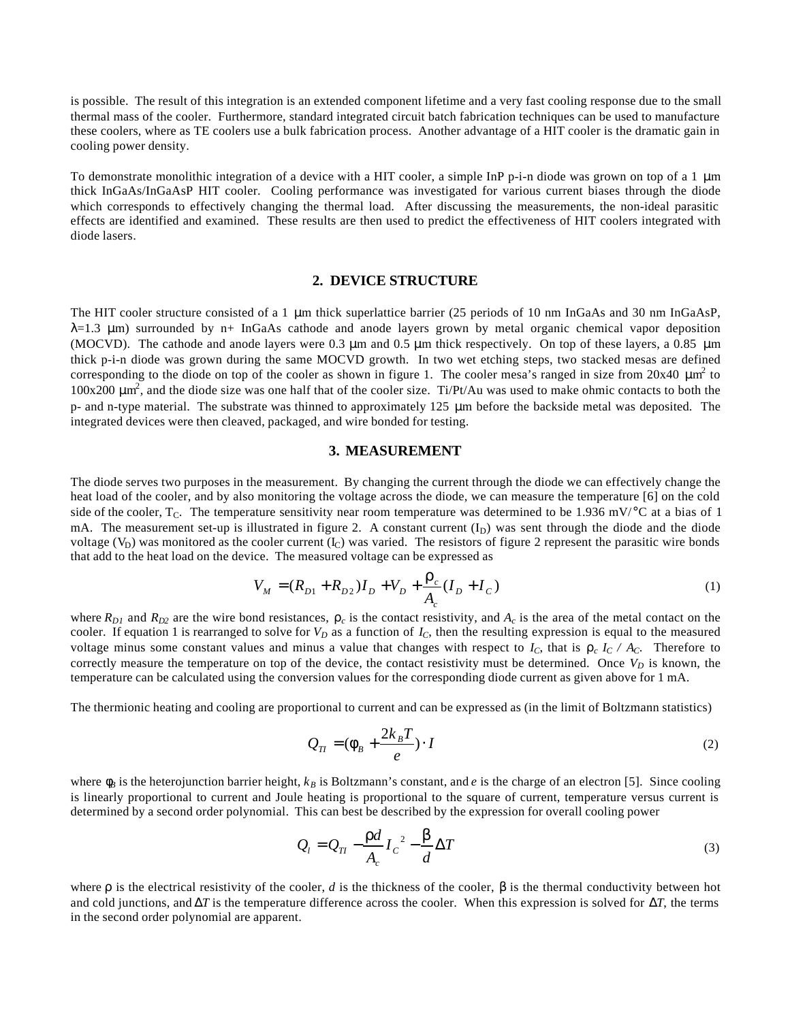is possible. The result of this integration is an extended component lifetime and a very fast cooling response due to the small thermal mass of the cooler. Furthermore, standard integrated circuit batch fabrication techniques can be used to manufacture these coolers, where as TE coolers use a bulk fabrication process. Another advantage of a HIT cooler is the dramatic gain in cooling power density.

To demonstrate monolithic integration of a device with a HIT cooler, a simple InP p-i-n diode was grown on top of a 1 μm thick InGaAs/InGaAsP HIT cooler. Cooling performance was investigated for various current biases through the diode which corresponds to effectively changing the thermal load. After discussing the measurements, the non-ideal parasitic effects are identified and examined. These results are then used to predict the effectiveness of HIT coolers integrated with diode lasers.

### **2. DEVICE STRUCTURE**

The HIT cooler structure consisted of a 1 μm thick superlattice barrier (25 periods of 10 nm InGaAs and 30 nm InGaAsP,  $\lambda$ =1.3  $\mu$ m) surrounded by n+ InGaAs cathode and anode layers grown by metal organic chemical vapor deposition (MOCVD). The cathode and anode layers were 0.3 μm and 0.5 μm thick respectively. On top of these layers, a 0.85 μm thick p-i-n diode was grown during the same MOCVD growth. In two wet etching steps, two stacked mesas are defined corresponding to the diode on top of the cooler as shown in figure 1. The cooler mesa's ranged in size from  $20x40 \mu m^2$  to  $100x200 \mu m^2$ , and the diode size was one half that of the cooler size. Ti/Pt/Au was used to make ohmic contacts to both the p- and n-type material. The substrate was thinned to approximately 125 μm before the backside metal was deposited. The integrated devices were then cleaved, packaged, and wire bonded for testing.

#### **3. MEASUREMENT**

The diode serves two purposes in the measurement. By changing the current through the diode we can effectively change the heat load of the cooler, and by also monitoring the voltage across the diode, we can measure the temperature [6] on the cold side of the cooler,  $T_c$ . The temperature sensitivity near room temperature was determined to be 1.936 mV/°C at a bias of 1 mA. The measurement set-up is illustrated in figure 2. A constant current  $(I_D)$  was sent through the diode and the diode voltage  $(V_D)$  was monitored as the cooler current  $(I_C)$  was varied. The resistors of figure 2 represent the parasitic wire bonds that add to the heat load on the device. The measured voltage can be expressed as

$$
V_M = (R_{D1} + R_{D2})I_D + V_D + \frac{r_c}{A_c}(I_D + I_C)
$$
\n(1)

where  $R_{D1}$  and  $R_{D2}$  are the wire bond resistances,  $r_c$  is the contact resistivity, and  $A_c$  is the area of the metal contact on the cooler. If equation 1 is rearranged to solve for  $V_D$  as a function of  $I_C$ , then the resulting expression is equal to the measured voltage minus some constant values and minus a value that changes with respect to  $I_c$ , that is  $r_c I_c / A_c$ . Therefore to correctly measure the temperature on top of the device, the contact resistivity must be determined. Once  $V_D$  is known, the temperature can be calculated using the conversion values for the corresponding diode current as given above for 1 mA.

The thermionic heating and cooling are proportional to current and can be expressed as (in the limit of Boltzmann statistics)

$$
Q_{TI} = (\mathbf{f}_B + \frac{2k_B T}{e}) \cdot I \tag{2}
$$

where  $f_B$  is the heterojunction barrier height,  $k_B$  is Boltzmann's constant, and *e* is the charge of an electron [5]. Since cooling is linearly proportional to current and Joule heating is proportional to the square of current, temperature versus current is determined by a second order polynomial. This can best be described by the expression for overall cooling power

$$
Q_l = Q_{Tl} - \frac{rd}{A_c} I_c^2 - \frac{b}{d} \Delta T
$$
 (3)

where **r** is the electrical resistivity of the cooler, *d* is the thickness of the cooler, *b* is the thermal conductivity between hot and cold junctions, and *DT* is the temperature difference across the cooler. When this expression is solved for *DT*, the terms in the second order polynomial are apparent.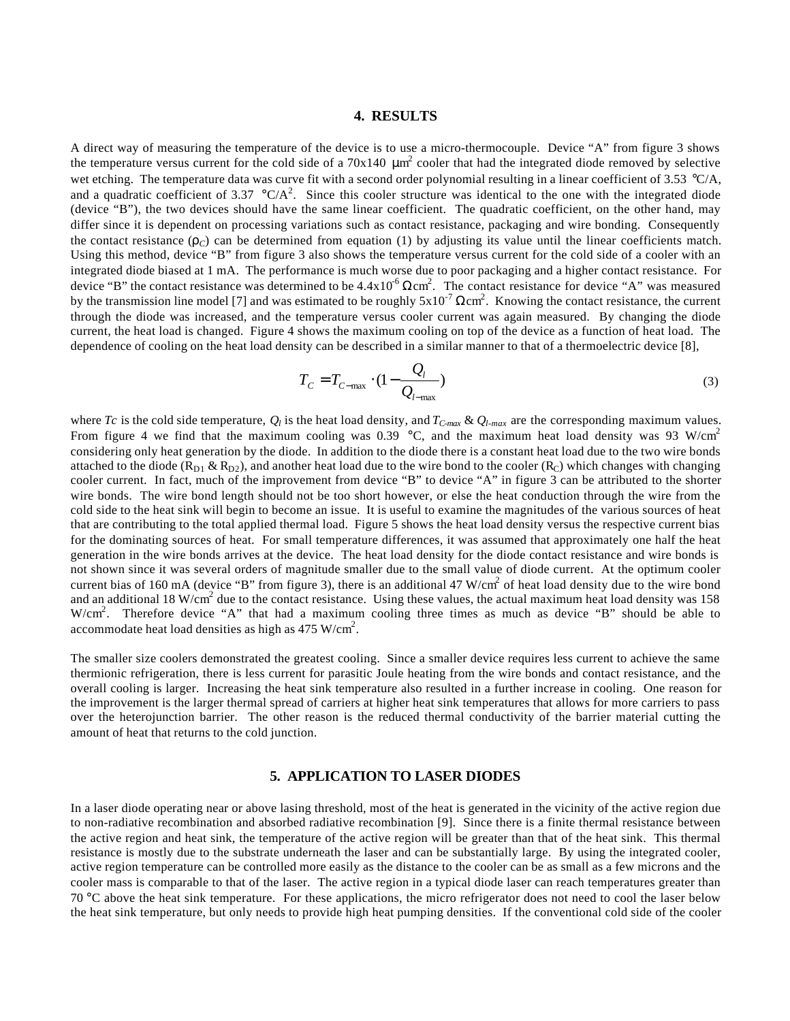#### **4. RESULTS**

A direct way of measuring the temperature of the device is to use a micro-thermocouple. Device "A" from figure 3 shows the temperature versus current for the cold side of a 70x140  $\mu$ m<sup>2</sup> cooler that had the integrated diode removed by selective wet etching. The temperature data was curve fit with a second order polynomial resulting in a linear coefficient of 3.53  $^{\circ}C/A$ , and a quadratic coefficient of 3.37  $\rm{^{\circ}C/A^2}$ . Since this cooler structure was identical to the one with the integrated diode (device "B"), the two devices should have the same linear coefficient. The quadratic coefficient, on the other hand, may differ since it is dependent on processing variations such as contact resistance, packaging and wire bonding. Consequently the contact resistance  $(r_C)$  can be determined from equation (1) by adjusting its value until the linear coefficients match. Using this method, device "B" from figure 3 also shows the temperature versus current for the cold side of a cooler with an integrated diode biased at 1 mA. The performance is much worse due to poor packaging and a higher contact resistance. For device "B" the contact resistance was determined to be  $4.4 \times 10^{-6} \Omega \text{cm}^2$ . The contact resistance for device "A" was measured by the transmission line model [7] and was estimated to be roughly  $5x10^{-7}$   $\Omega$ cm<sup>2</sup>. Knowing the contact resistance, the current through the diode was increased, and the temperature versus cooler current was again measured. By changing the diode current, the heat load is changed. Figure 4 shows the maximum cooling on top of the device as a function of heat load. The dependence of cooling on the heat load density can be described in a similar manner to that of a thermoelectric device [8],

$$
T_C = T_{C-\text{max}} \cdot (1 - \frac{Q_l}{Q_{l-\text{max}}})
$$
\n(3)

where *Tc* is the cold side temperature,  $Q_l$  is the heat load density, and  $T_{C \text{max}} \& Q_{l \text{max}}$  are the corresponding maximum values. From figure 4 we find that the maximum cooling was 0.39  $\degree$ C, and the maximum heat load density was 93 W/cm<sup>2</sup> considering only heat generation by the diode. In addition to the diode there is a constant heat load due to the two wire bonds attached to the diode ( $R_{D1}$  &  $R_{D2}$ ), and another heat load due to the wire bond to the cooler ( $R_C$ ) which changes with changing cooler current. In fact, much of the improvement from device "B" to device "A" in figure 3 can be attributed to the shorter wire bonds. The wire bond length should not be too short however, or else the heat conduction through the wire from the cold side to the heat sink will begin to become an issue. It is useful to examine the magnitudes of the various sources of heat that are contributing to the total applied thermal load. Figure 5 shows the heat load density versus the respective current bias for the dominating sources of heat. For small temperature differences, it was assumed that approximately one half the heat generation in the wire bonds arrives at the device. The heat load density for the diode contact resistance and wire bonds is not shown since it was several orders of magnitude smaller due to the small value of diode current. At the optimum cooler current bias of 160 mA (device "B" from figure 3), there is an additional 47 W/cm<sup>2</sup> of heat load density due to the wire bond and an additional 18 W/cm<sup>2</sup> due to the contact resistance. Using these values, the actual maximum heat load density was 158 W/cm<sup>2</sup>. Therefore device "A" that had a maximum cooling three times as much as device "B" should be able to accommodate heat load densities as high as 475 W/cm<sup>2</sup>.

The smaller size coolers demonstrated the greatest cooling. Since a smaller device requires less current to achieve the same thermionic refrigeration, there is less current for parasitic Joule heating from the wire bonds and contact resistance, and the overall cooling is larger. Increasing the heat sink temperature also resulted in a further increase in cooling. One reason for the improvement is the larger thermal spread of carriers at higher heat sink temperatures that allows for more carriers to pass over the heterojunction barrier. The other reason is the reduced thermal conductivity of the barrier material cutting the amount of heat that returns to the cold junction.

#### **5. APPLICATION TO LASER DIODES**

In a laser diode operating near or above lasing threshold, most of the heat is generated in the vicinity of the active region due to non-radiative recombination and absorbed radiative recombination [9]. Since there is a finite thermal resistance between the active region and heat sink, the temperature of the active region will be greater than that of the heat sink. This thermal resistance is mostly due to the substrate underneath the laser and can be substantially large. By using the integrated cooler, active region temperature can be controlled more easily as the distance to the cooler can be as small as a few microns and the cooler mass is comparable to that of the laser. The active region in a typical diode laser can reach temperatures greater than 70 °C above the heat sink temperature. For these applications, the micro refrigerator does not need to cool the laser below the heat sink temperature, but only needs to provide high heat pumping densities. If the conventional cold side of the cooler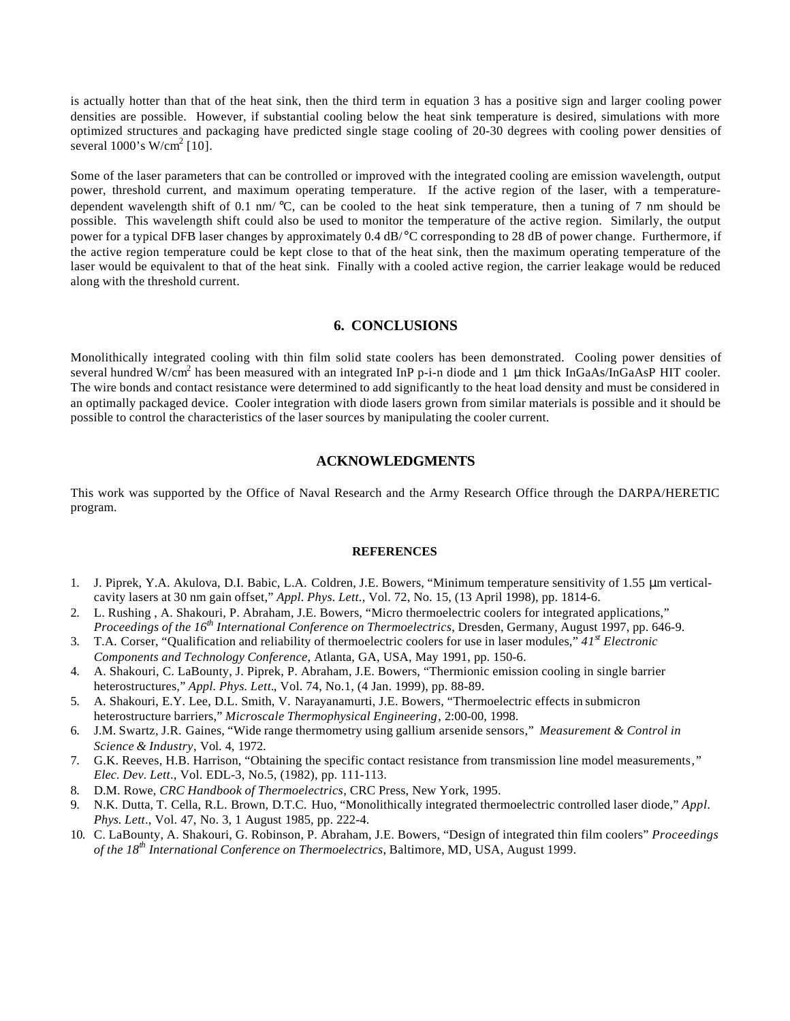is actually hotter than that of the heat sink, then the third term in equation 3 has a positive sign and larger cooling power densities are possible. However, if substantial cooling below the heat sink temperature is desired, simulations with more optimized structures and packaging have predicted single stage cooling of 20-30 degrees with cooling power densities of several  $1000$ 's W/cm<sup>2</sup> [10].

Some of the laser parameters that can be controlled or improved with the integrated cooling are emission wavelength, output power, threshold current, and maximum operating temperature. If the active region of the laser, with a temperaturedependent wavelength shift of 0.1 nm/ $\degree$ C, can be cooled to the heat sink temperature, then a tuning of 7 nm should be possible. This wavelength shift could also be used to monitor the temperature of the active region. Similarly, the output power for a typical DFB laser changes by approximately 0.4 dB/°C corresponding to 28 dB of power change. Furthermore, if the active region temperature could be kept close to that of the heat sink, then the maximum operating temperature of the laser would be equivalent to that of the heat sink. Finally with a cooled active region, the carrier leakage would be reduced along with the threshold current.

## **6. CONCLUSIONS**

Monolithically integrated cooling with thin film solid state coolers has been demonstrated. Cooling power densities of several hundred W/cm<sup>2</sup> has been measured with an integrated InP p-i-n diode and 1  $\mu$ m thick InGaAs/InGaAsP HIT cooler. The wire bonds and contact resistance were determined to add significantly to the heat load density and must be considered in an optimally packaged device. Cooler integration with diode lasers grown from similar materials is possible and it should be possible to control the characteristics of the laser sources by manipulating the cooler current.

## **ACKNOWLEDGMENTS**

This work was supported by the Office of Naval Research and the Army Research Office through the DARPA/HERETIC program.

#### **REFERENCES**

- 1. J. Piprek, Y.A. Akulova, D.I. Babic, L.A. Coldren, J.E. Bowers, "Minimum temperature sensitivity of 1.55 μm verticalcavity lasers at 30 nm gain offset," *Appl. Phys. Lett*., Vol. 72, No. 15, (13 April 1998), pp. 1814-6.
- 2. L. Rushing , A. Shakouri, P. Abraham, J.E. Bowers, "Micro thermoelectric coolers for integrated applications," *Proceedings of the 16th International Conference on Thermoelectrics*, Dresden, Germany, August 1997, pp. 646-9.
- 3. T.A. Corser, "Qualification and reliability of thermoelectric coolers for use in laser modules," *41st Electronic Components and Technology Conference*, Atlanta, GA, USA, May 1991, pp. 150-6.
- 4. A. Shakouri, C. LaBounty, J. Piprek, P. Abraham, J.E. Bowers, "Thermionic emission cooling in single barrier heterostructures," *Appl. Phys. Lett.*, Vol. 74, No.1, (4 Jan. 1999), pp. 88-89.
- 5. A. Shakouri, E.Y. Lee, D.L. Smith, V. Narayanamurti, J.E. Bowers, "Thermoelectric effects in submicron heterostructure barriers," *Microscale Thermophysical Engineering*, 2:00-00, 1998.
- 6. J.M. Swartz, J.R. Gaines, "Wide range thermometry using gallium arsenide sensors," *Measurement & Control in Science & Industry*, Vol. 4, 1972.
- 7. G.K. Reeves, H.B. Harrison, "Obtaining the specific contact resistance from transmission line model measurements*," Elec. Dev. Lett*., Vol. EDL-3, No.5, (1982), pp. 111-113.
- 8. D.M. Rowe, *CRC Handbook of Thermoelectrics*, CRC Press, New York, 1995.
- 9. N.K. Dutta, T. Cella, R.L. Brown, D.T.C. Huo, "Monolithically integrated thermoelectric controlled laser diode," *Appl. Phys. Lett*., Vol. 47, No. 3, 1 August 1985, pp. 222-4.
- 10. C. LaBounty, A. Shakouri, G. Robinson, P. Abraham, J.E. Bowers, "Design of integrated thin film coolers" *Proceedings of the 18th International Conference on Thermoelectrics*, Baltimore, MD, USA, August 1999.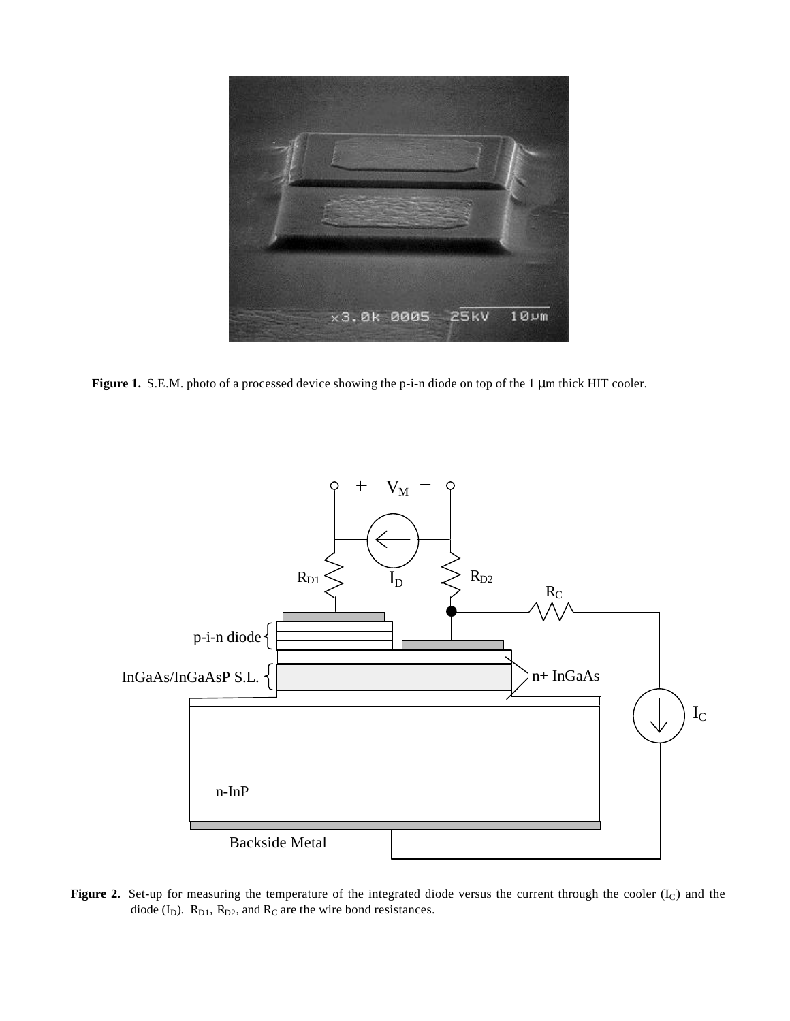

**Figure 1.** S.E.M. photo of a processed device showing the p-i-n diode on top of the 1 μm thick HIT cooler.



Figure 2. Set-up for measuring the temperature of the integrated diode versus the current through the cooler (I<sub>C</sub>) and the diode  $(I_D)$ .  $R_{D1}$ ,  $R_{D2}$ , and  $R_C$  are the wire bond resistances.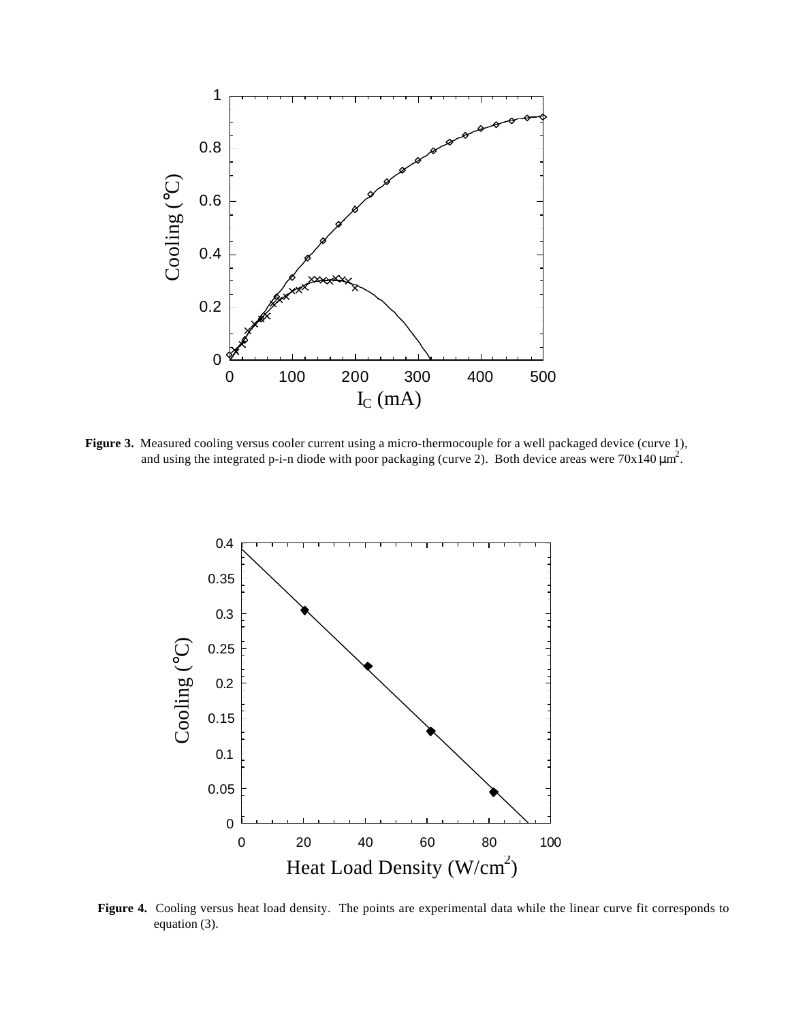

**Figure 3.** Measured cooling versus cooler current using a micro-thermocouple for a well packaged device (curve 1), and using the integrated p-i-n diode with poor packaging (curve 2). Both device areas were  $70x140 \mu m^2$ .



**Figure 4.** Cooling versus heat load density. The points are experimental data while the linear curve fit corresponds to